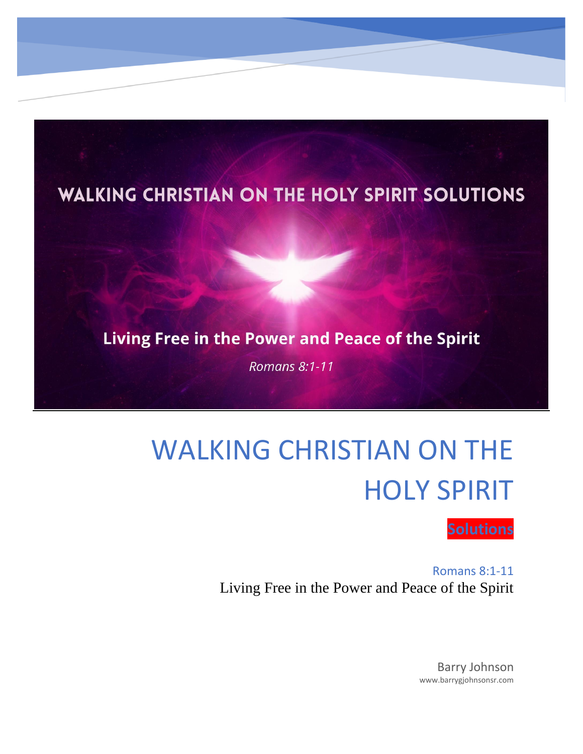

# WALKING CHRISTIAN ON THE HOLY SPIRIT



Romans 8:1-11 Living Free in the Power and Peace of the Spirit

> Barry Johnson www.barrygjohnsonsr.com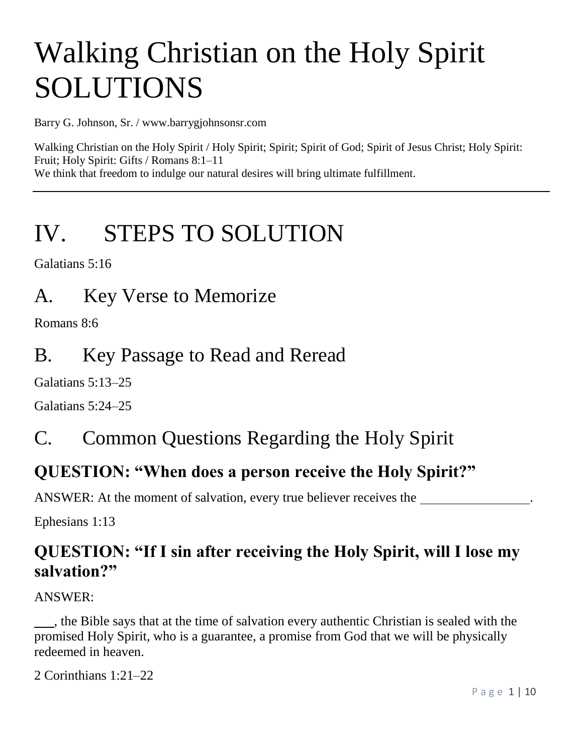# Walking Christian on the Holy Spirit SOLUTIONS

Barry G. Johnson, Sr. / www.barrygjohnsonsr.com

Walking Christian on the Holy Spirit / Holy Spirit; Spirit; Spirit of God; Spirit of Jesus Christ; Holy Spirit: Fruit; Holy Spirit: Gifts / Romans 8:1–11 We think that freedom to indulge our natural desires will bring ultimate fulfillment.

# IV. STEPS TO SOLUTION

Galatians 5:16

A. Key Verse to Memorize

Romans 8:6

# B. Key Passage to Read and Reread

Galatians 5:13–25

Galatians 5:24–25

# C. Common Questions Regarding the Holy Spirit

### **QUESTION: "When does a person receive the Holy Spirit?"**

ANSWER: At the moment of salvation, every true believer receives the

Ephesians 1:13

### **QUESTION: "If I sin after receiving the Holy Spirit, will I lose my salvation?"**

ANSWER:

 , the Bible says that at the time of salvation every authentic Christian is sealed with the promised Holy Spirit, who is a guarantee, a promise from God that we will be physically redeemed in heaven.

2 Corinthians 1:21–22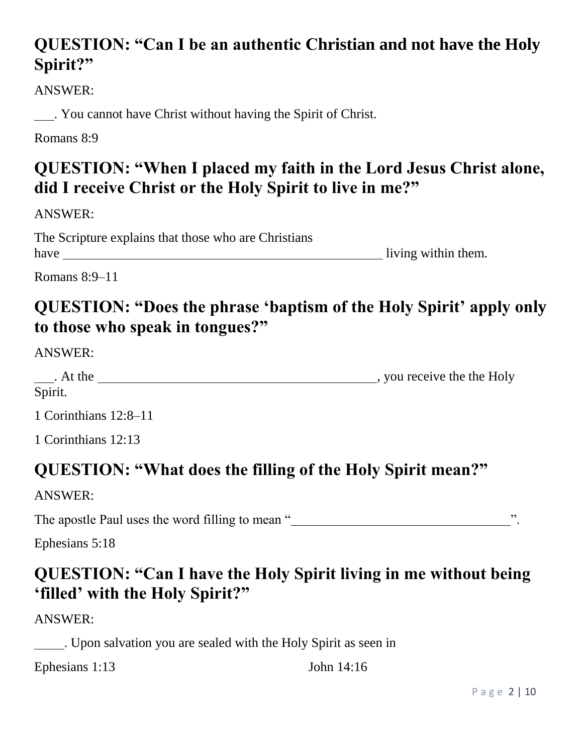# **QUESTION: "Can I be an authentic Christian and not have the Holy Spirit?"**

ANSWER:

. You cannot have Christ without having the Spirit of Christ.

Romans 8:9

# **QUESTION: "When I placed my faith in the Lord Jesus Christ alone, did I receive Christ or the Holy Spirit to live in me?"**

ANSWER:

The Scripture explains that those who are Christians have living within them.

Romans 8:9–11

# **QUESTION: "Does the phrase 'baptism of the Holy Spirit' apply only to those who speak in tongues?"**

ANSWER:

| . At the | you receive the the Holy |
|----------|--------------------------|
| Spirit.  |                          |

1 Corinthians 12:8–11

1 Corinthians 12:13

# **QUESTION: "What does the filling of the Holy Spirit mean?"**

ANSWER:

The apostle Paul uses the word filling to mean " ".

Ephesians 5:18

# **QUESTION: "Can I have the Holy Spirit living in me without being 'filled' with the Holy Spirit?"**

ANSWER:

. Upon salvation you are sealed with the Holy Spirit as seen in

Ephesians 1:13 John 14:16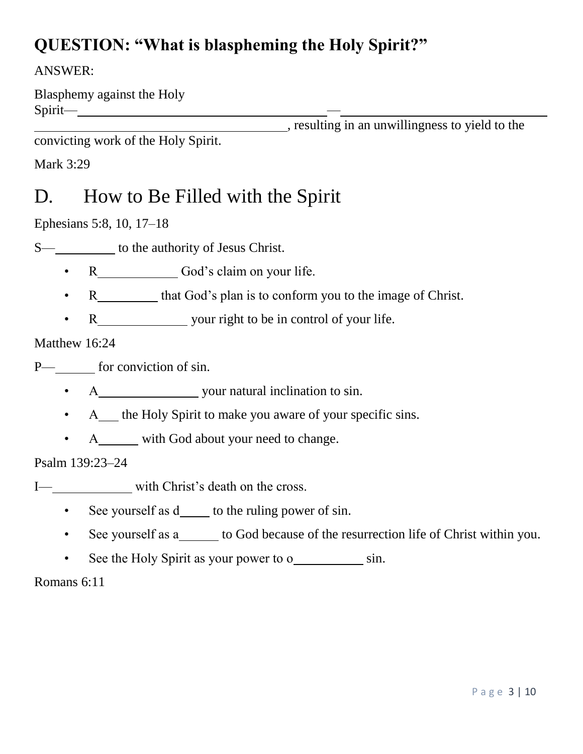# **QUESTION: "What is blaspheming the Holy Spirit?"**

### ANSWER:

Blasphemy against the Holy Spirit— —

, resulting in an unwillingness to yield to the

convicting work of the Holy Spirit.

Mark 3:29

# D. How to Be Filled with the Spirit

Ephesians 5:8, 10, 17–18

S— to the authority of Jesus Christ.

- R God's claim on your life.
- R that God's plan is to conform you to the image of Christ.
- R vour right to be in control of your life.

### Matthew 16:24

P— for conviction of sin.

- A your natural inclination to sin.
- A the Holy Spirit to make you aware of your specific sins.
- A\_\_\_\_\_ with God about your need to change.

### Psalm 139:23–24

- I— with Christ's death on the cross.
	- See yourself as  $d_$  to the ruling power of sin.
	- See yourself as a\_\_\_\_\_ to God because of the resurrection life of Christ within you.
	- See the Holy Spirit as your power to o sin.

Romans 6:11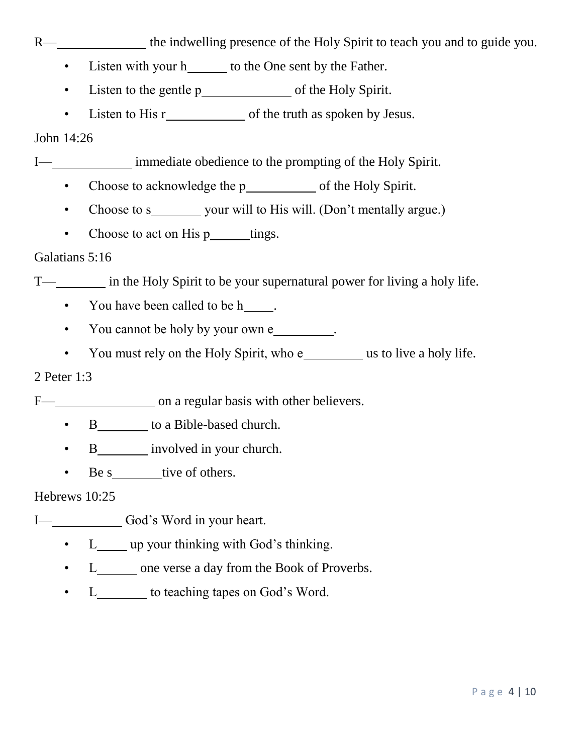R— the indwelling presence of the Holy Spirit to teach you and to guide you.

- Listen with your h<sub>\_\_\_\_\_</sub> to the One sent by the Father.
- Listen to the gentle p of the Holy Spirit.
- Listen to His r of the truth as spoken by Jesus.

John 14:26

I— immediate obedience to the prompting of the Holy Spirit.

- Choose to acknowledge the p of the Holy Spirit.
- Choose to s your will to His will. (Don't mentally argue.)
- Choose to act on His  $p_$ \_\_\_\_\_tings.

### Galatians 5:16

T— in the Holy Spirit to be your supernatural power for living a holy life.

• You have been called to be h.

- You cannot be holy by your own e .
- You must rely on the Holy Spirit, who e\_\_\_\_\_\_\_\_\_ us to live a holy life.

### 2 Peter 1:3

F— on a regular basis with other believers.

- B\_\_\_\_\_\_\_\_\_ to a Bible-based church.
- B involved in your church.
- Be s tive of others.

### Hebrews 10:25

I— God's Word in your heart.

- L up your thinking with God's thinking.
- L one verse a day from the Book of Proverbs.
- L to teaching tapes on God's Word.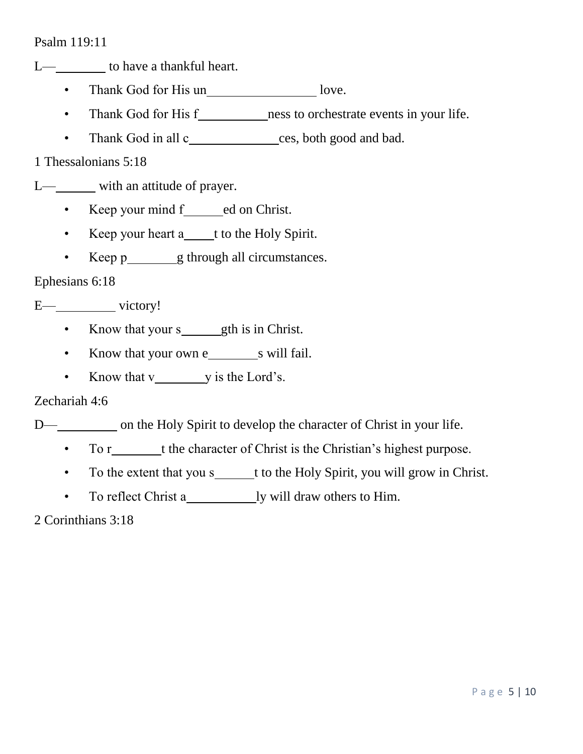L— to have a thankful heart.

- Thank God for His un\_\_\_\_\_\_\_\_\_\_\_\_\_\_\_\_\_\_\_ love.
- Thank God for His f ness to orchestrate events in your life.
- Thank God in all c\_\_\_\_\_\_\_\_\_\_\_ces, both good and bad.

1 Thessalonians 5:18

L— with an attitude of prayer.

- Keep your mind  $f$  ed on Christ.
- Keep your heart a\_\_\_\_t to the Holy Spirit.
- Keep p g through all circumstances.

Ephesians 6:18

E— victory!

- Know that your s gth is in Christ.
- Know that your own e s will fail.
- Know that v y is the Lord's.

Zechariah 4:6

D— on the Holy Spirit to develop the character of Christ in your life.

- To r t the character of Christ is the Christian's highest purpose.
- To the extent that you s t to the Holy Spirit, you will grow in Christ.
- To reflect Christ a ly will draw others to Him.

2 Corinthians 3:18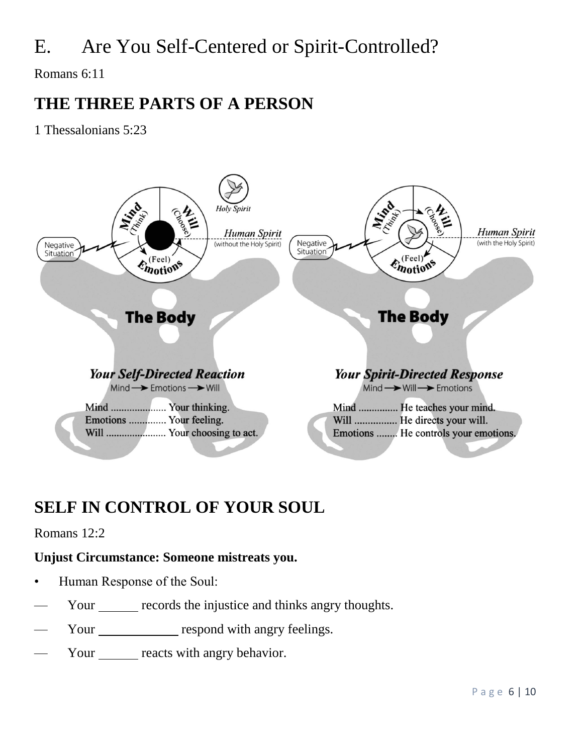# E. Are You Self-Centered or Spirit-Controlled?

Romans 6:11

### **THE THREE PARTS OF A PERSON**

1 Thessalonians 5:23



# **SELF IN CONTROL OF YOUR SOUL**

### Romans 12:2

### **Unjust Circumstance: Someone mistreats you.**

- Human Response of the Soul:
- Your records the injustice and thinks angry thoughts.
- Your respond with angry feelings.
- Your reacts with angry behavior.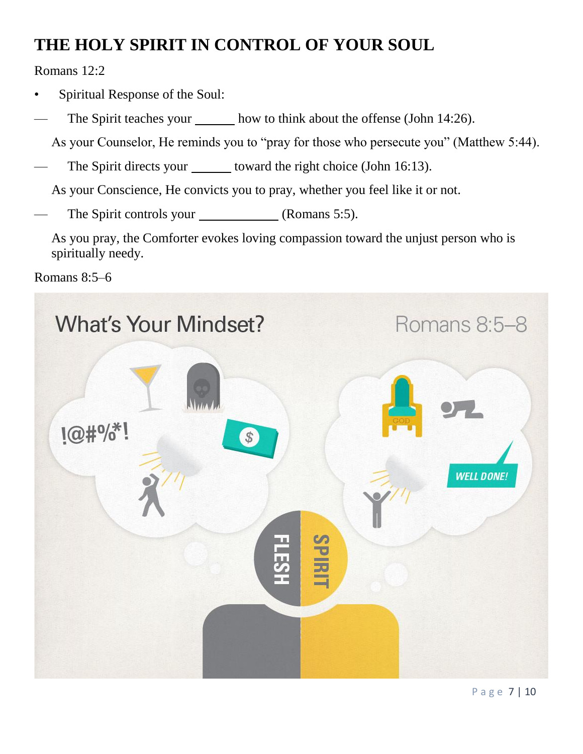# **THE HOLY SPIRIT IN CONTROL OF YOUR SOUL**

Romans 12:2

- Spiritual Response of the Soul:
- The Spirit teaches your how to think about the offense (John 14:26).

As your Counselor, He reminds you to "pray for those who persecute you" (Matthew 5:44).

The Spirit directs your \_\_\_\_\_\_ toward the right choice (John 16:13).

As your Conscience, He convicts you to pray, whether you feel like it or not.

The Spirit controls your (Romans 5:5).

As you pray, the Comforter evokes loving compassion toward the unjust person who is spiritually needy.

Romans 8:5–6

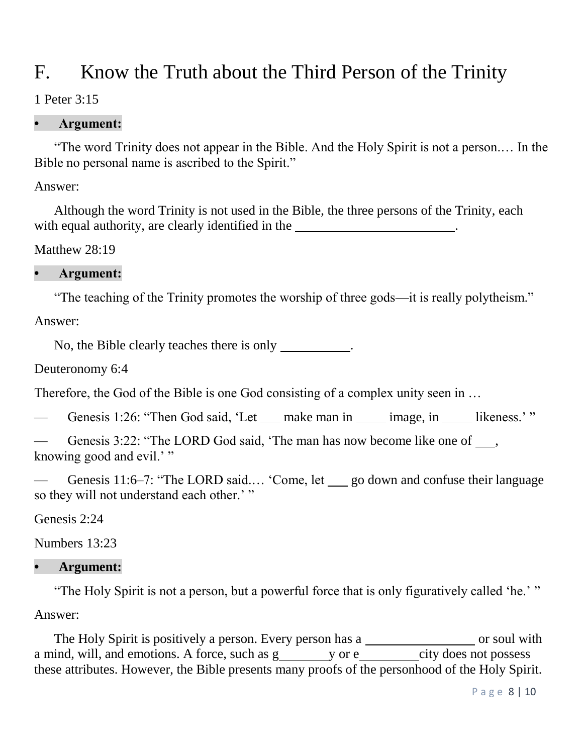# F. Know the Truth about the Third Person of the Trinity

### 1 Peter 3:15

### **• Argument:**

 "The word Trinity does not appear in the Bible. And the Holy Spirit is not a person.… In the Bible no personal name is ascribed to the Spirit."

Answer:

 Although the word Trinity is not used in the Bible, the three persons of the Trinity, each with equal authority, are clearly identified in the .

Matthew 28:19

### **• Argument:**

"The teaching of the Trinity promotes the worship of three gods—it is really polytheism."

Answer:

No, the Bible clearly teaches there is only \_\_\_\_\_\_\_\_\_.

Deuteronomy 6:4

Therefore, the God of the Bible is one God consisting of a complex unity seen in …

Genesis 1:26: "Then God said, 'Let make man in image, in likeness.' "

Genesis 3:22: "The LORD God said, 'The man has now become like one of , knowing good and evil.'"

Genesis 11:6–7: "The LORD said.... 'Come, let go down and confuse their language so they will not understand each other.'"

Genesis 2:24

Numbers 13:23

### **• Argument:**

"The Holy Spirit is not a person, but a powerful force that is only figuratively called 'he.' "

Answer:

The Holy Spirit is positively a person. Every person has a \_\_\_\_\_\_\_\_\_\_\_\_\_\_\_\_\_\_ or soul with a mind, will, and emotions. A force, such as g y or e city does not possess these attributes. However, the Bible presents many proofs of the personhood of the Holy Spirit.

P a g e 8 | 10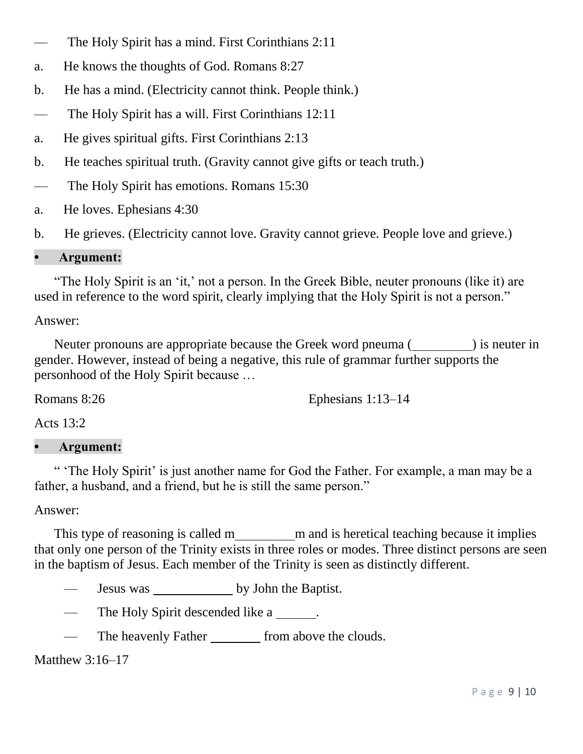- The Holy Spirit has a mind. First Corinthians 2:11
- a. He knows the thoughts of God. Romans 8:27
- b. He has a mind. (Electricity cannot think. People think.)
- The Holy Spirit has a will. First Corinthians 12:11
- a. He gives spiritual gifts. First Corinthians 2:13
- b. He teaches spiritual truth. (Gravity cannot give gifts or teach truth.)
- The Holy Spirit has emotions. Romans 15:30
- a. He loves. Ephesians 4:30
- b. He grieves. (Electricity cannot love. Gravity cannot grieve. People love and grieve.)

#### **• Argument:**

 "The Holy Spirit is an 'it,' not a person. In the Greek Bible, neuter pronouns (like it) are used in reference to the word spirit, clearly implying that the Holy Spirit is not a person."

#### Answer:

Neuter pronouns are appropriate because the Greek word pneuma (Separator 1) is neuter in gender. However, instead of being a negative, this rule of grammar further supports the personhood of the Holy Spirit because …

Romans 8:26

Ephesians 1:13–14

Acts 13:2

### **• Argument:**

 " 'The Holy Spirit' is just another name for God the Father. For example, a man may be a father, a husband, and a friend, but he is still the same person."

#### Answer:

This type of reasoning is called m m and is heretical teaching because it implies that only one person of the Trinity exists in three roles or modes. Three distinct persons are seen in the baptism of Jesus. Each member of the Trinity is seen as distinctly different.

- Jesus was by John the Baptist.
- The Holy Spirit descended like a \_\_\_\_\_\_.
- The heavenly Father from above the clouds.

### Matthew 3:16–17